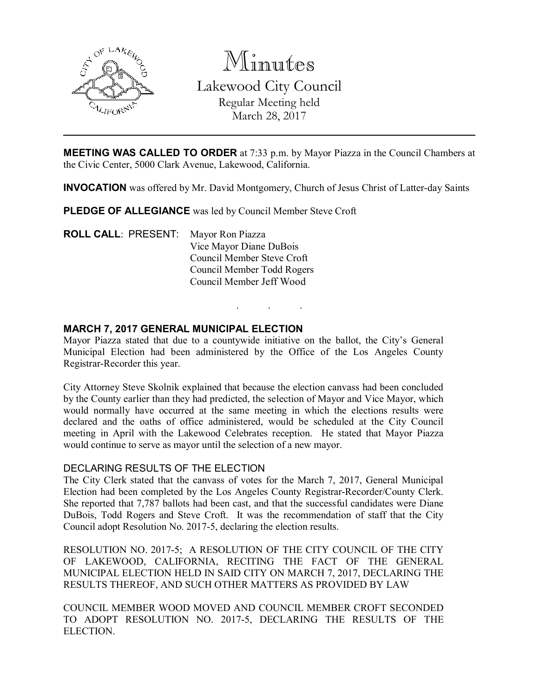

# Minutes

Lakewood City Council Regular Meeting held March 28, 2017

MEETING WAS CALLED TO ORDER at 7:33 p.m. by Mayor Piazza in the Council Chambers at the Civic Center, 5000 Clark Avenue, Lakewood, California.

INVOCATION was offered by Mr. David Montgomery, Church of Jesus Christ of Latter-day Saints

PLEDGE OF ALLEGIANCE was led by Council Member Steve Croft

ROLL CALL: PRESENT: Mayor Ron Piazza Vice Mayor Diane DuBois Council Member Steve Croft Council Member Todd Rogers Council Member Jeff Wood

# MARCH 7, 2017 GENERAL MUNICIPAL ELECTION

Mayor Piazza stated that due to a countywide initiative on the ballot, the City's General Municipal Election had been administered by the Office of the Los Angeles County Registrar-Recorder this year.

. . .

City Attorney Steve Skolnik explained that because the election canvass had been concluded by the County earlier than they had predicted, the selection of Mayor and Vice Mayor, which would normally have occurred at the same meeting in which the elections results were declared and the oaths of office administered, would be scheduled at the City Council meeting in April with the Lakewood Celebrates reception. He stated that Mayor Piazza would continue to serve as mayor until the selection of a new mayor.

# DECLARING RESULTS OF THE ELECTION

The City Clerk stated that the canvass of votes for the March 7, 2017, General Municipal Election had been completed by the Los Angeles County Registrar-Recorder/County Clerk. She reported that 7,787 ballots had been cast, and that the successful candidates were Diane DuBois, Todd Rogers and Steve Croft. It was the recommendation of staff that the City Council adopt Resolution No. 2017-5, declaring the election results.

RESOLUTION NO. 2017-5; A RESOLUTION OF THE CITY COUNCIL OF THE CITY OF LAKEWOOD, CALIFORNIA, RECITING THE FACT OF THE GENERAL MUNICIPAL ELECTION HELD IN SAID CITY ON MARCH 7, 2017, DECLARING THE RESULTS THEREOF, AND SUCH OTHER MATTERS AS PROVIDED BY LAW

COUNCIL MEMBER WOOD MOVED AND COUNCIL MEMBER CROFT SECONDED TO ADOPT RESOLUTION NO. 2017-5, DECLARING THE RESULTS OF THE ELECTION.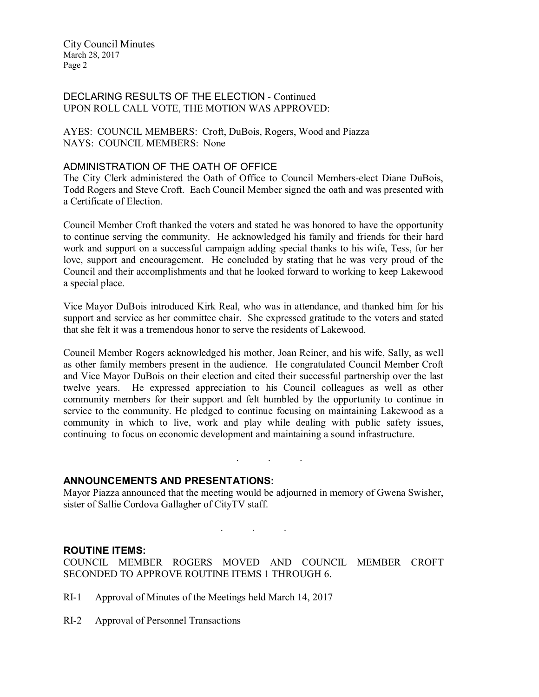# DECLARING RESULTS OF THE ELECTION - Continued UPON ROLL CALL VOTE, THE MOTION WAS APPROVED:

AYES: COUNCIL MEMBERS: Croft, DuBois, Rogers, Wood and Piazza NAYS: COUNCIL MEMBERS: None

## ADMINISTRATION OF THE OATH OF OFFICE

The City Clerk administered the Oath of Office to Council Members-elect Diane DuBois, Todd Rogers and Steve Croft. Each Council Member signed the oath and was presented with a Certificate of Election.

Council Member Croft thanked the voters and stated he was honored to have the opportunity to continue serving the community. He acknowledged his family and friends for their hard work and support on a successful campaign adding special thanks to his wife, Tess, for her love, support and encouragement. He concluded by stating that he was very proud of the Council and their accomplishments and that he looked forward to working to keep Lakewood a special place.

Vice Mayor DuBois introduced Kirk Real, who was in attendance, and thanked him for his support and service as her committee chair. She expressed gratitude to the voters and stated that she felt it was a tremendous honor to serve the residents of Lakewood.

Council Member Rogers acknowledged his mother, Joan Reiner, and his wife, Sally, as well as other family members present in the audience. He congratulated Council Member Croft and Vice Mayor DuBois on their election and cited their successful partnership over the last twelve years. He expressed appreciation to his Council colleagues as well as other community members for their support and felt humbled by the opportunity to continue in service to the community. He pledged to continue focusing on maintaining Lakewood as a community in which to live, work and play while dealing with public safety issues, continuing to focus on economic development and maintaining a sound infrastructure.

# ANNOUNCEMENTS AND PRESENTATIONS:

Mayor Piazza announced that the meeting would be adjourned in memory of Gwena Swisher, sister of Sallie Cordova Gallagher of CityTV staff.

. . .

. . .

#### ROUTINE ITEMS:

COUNCIL MEMBER ROGERS MOVED AND COUNCIL MEMBER CROFT SECONDED TO APPROVE ROUTINE ITEMS 1 THROUGH 6.

- RI-1 Approval of Minutes of the Meetings held March 14, 2017
- RI-2 Approval of Personnel Transactions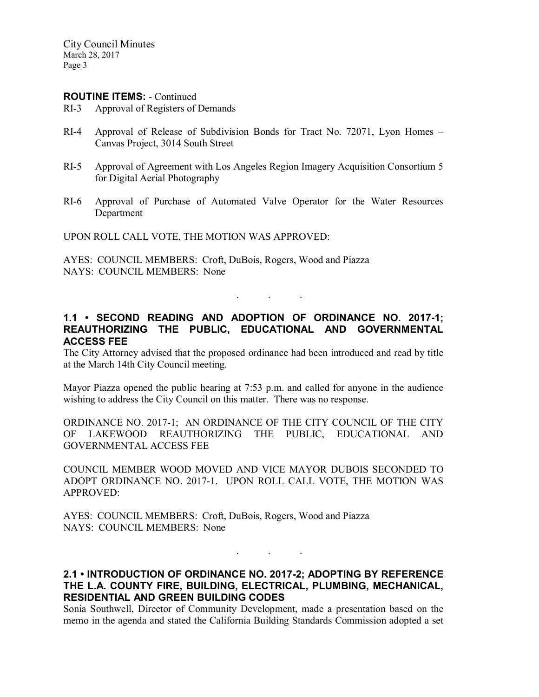#### ROUTINE ITEMS: - Continued

- RI-3 Approval of Registers of Demands
- RI-4 Approval of Release of Subdivision Bonds for Tract No. 72071, Lyon Homes Canvas Project, 3014 South Street
- RI-5 Approval of Agreement with Los Angeles Region Imagery Acquisition Consortium 5 for Digital Aerial Photography
- RI-6 Approval of Purchase of Automated Valve Operator for the Water Resources Department

UPON ROLL CALL VOTE, THE MOTION WAS APPROVED:

AYES: COUNCIL MEMBERS: Croft, DuBois, Rogers, Wood and Piazza NAYS: COUNCIL MEMBERS: None

# 1.1 • SECOND READING AND ADOPTION OF ORDINANCE NO. 2017-1; REAUTHORIZING THE PUBLIC, EDUCATIONAL AND GOVERNMENTAL ACCESS FEE

. . .

The City Attorney advised that the proposed ordinance had been introduced and read by title at the March 14th City Council meeting.

Mayor Piazza opened the public hearing at 7:53 p.m. and called for anyone in the audience wishing to address the City Council on this matter. There was no response.

ORDINANCE NO. 2017-1; AN ORDINANCE OF THE CITY COUNCIL OF THE CITY OF LAKEWOOD REAUTHORIZING THE PUBLIC, EDUCATIONAL AND GOVERNMENTAL ACCESS FEE

COUNCIL MEMBER WOOD MOVED AND VICE MAYOR DUBOIS SECONDED TO ADOPT ORDINANCE NO. 2017-1. UPON ROLL CALL VOTE, THE MOTION WAS APPROVED:

AYES: COUNCIL MEMBERS: Croft, DuBois, Rogers, Wood and Piazza NAYS: COUNCIL MEMBERS: None

## 2.1 • INTRODUCTION OF ORDINANCE NO. 2017-2; ADOPTING BY REFERENCE THE L.A. COUNTY FIRE, BUILDING, ELECTRICAL, PLUMBING, MECHANICAL, RESIDENTIAL AND GREEN BUILDING CODES

. . .

Sonia Southwell, Director of Community Development, made a presentation based on the memo in the agenda and stated the California Building Standards Commission adopted a set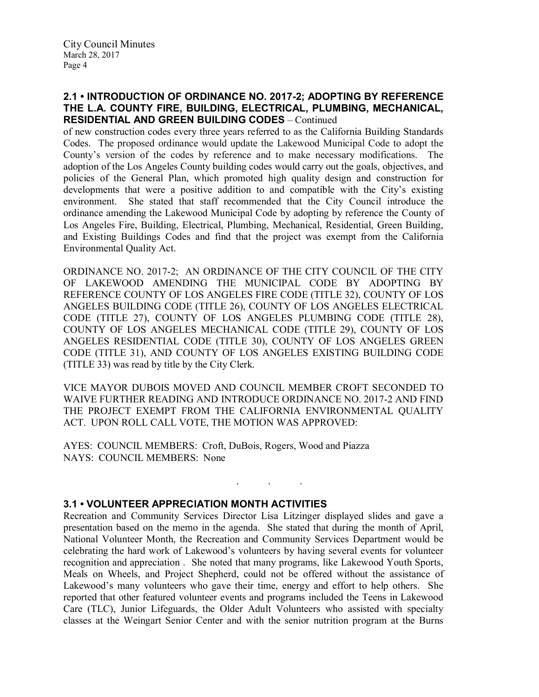# 2.1 • INTRODUCTION OF ORDINANCE NO. 2017-2; ADOPTING BY REFERENCE THE L.A. COUNTY FIRE, BUILDING, ELECTRICAL, PLUMBING, MECHANICAL, RESIDENTIAL AND GREEN BUILDING CODES – Continued

of new construction codes every three years referred to as the California Building Standards Codes. The proposed ordinance would update the Lakewood Municipal Code to adopt the County's version of the codes by reference and to make necessary modifications. The adoption of the Los Angeles County building codes would carry out the goals, objectives, and policies of the General Plan, which promoted high quality design and construction for developments that were a positive addition to and compatible with the City's existing environment. She stated that staff recommended that the City Council introduce the ordinance amending the Lakewood Municipal Code by adopting by reference the County of Los Angeles Fire, Building, Electrical, Plumbing, Mechanical, Residential, Green Building, and Existing Buildings Codes and find that the project was exempt from the California Environmental Quality Act.

ORDINANCE NO. 2017-2; AN ORDINANCE OF THE CITY COUNCIL OF THE CITY OF LAKEWOOD AMENDING THE MUNICIPAL CODE BY ADOPTING BY REFERENCE COUNTY OF LOS ANGELES FIRE CODE (TITLE 32), COUNTY OF LOS ANGELES BUILDING CODE (TITLE 26), COUNTY OF LOS ANGELES ELECTRICAL CODE (TITLE 27), COUNTY OF LOS ANGELES PLUMBING CODE (TITLE 28), COUNTY OF LOS ANGELES MECHANICAL CODE (TITLE 29), COUNTY OF LOS ANGELES RESIDENTIAL CODE (TITLE 30), COUNTY OF LOS ANGELES GREEN CODE (TITLE 31), AND COUNTY OF LOS ANGELES EXISTING BUILDING CODE (TITLE 33) was read by title by the City Clerk.

VICE MAYOR DUBOIS MOVED AND COUNCIL MEMBER CROFT SECONDED TO WAIVE FURTHER READING AND INTRODUCE ORDINANCE NO. 2017-2 AND FIND THE PROJECT EXEMPT FROM THE CALIFORNIA ENVIRONMENTAL QUALITY ACT. UPON ROLL CALL VOTE, THE MOTION WAS APPROVED:

. . .

AYES: COUNCIL MEMBERS: Croft, DuBois, Rogers, Wood and Piazza NAYS: COUNCIL MEMBERS: None

# 3.1 • VOLUNTEER APPRECIATION MONTH ACTIVITIES

Recreation and Community Services Director Lisa Litzinger displayed slides and gave a presentation based on the memo in the agenda. She stated that during the month of April, National Volunteer Month, the Recreation and Community Services Department would be celebrating the hard work of Lakewood's volunteers by having several events for volunteer recognition and appreciation . She noted that many programs, like Lakewood Youth Sports, Meals on Wheels, and Project Shepherd, could not be offered without the assistance of Lakewood's many volunteers who gave their time, energy and effort to help others. She reported that other featured volunteer events and programs included the Teens in Lakewood Care (TLC), Junior Lifeguards, the Older Adult Volunteers who assisted with specialty classes at the Weingart Senior Center and with the senior nutrition program at the Burns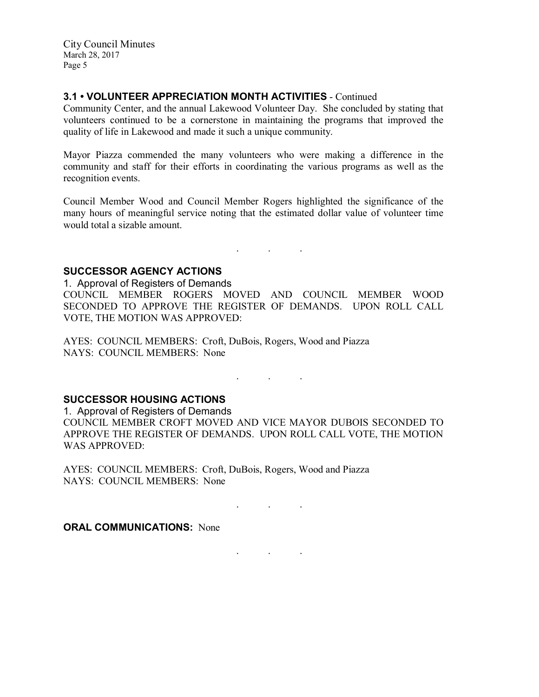# 3.1 • VOLUNTEER APPRECIATION MONTH ACTIVITIES - Continued

Community Center, and the annual Lakewood Volunteer Day. She concluded by stating that volunteers continued to be a cornerstone in maintaining the programs that improved the quality of life in Lakewood and made it such a unique community.

Mayor Piazza commended the many volunteers who were making a difference in the community and staff for their efforts in coordinating the various programs as well as the recognition events.

Council Member Wood and Council Member Rogers highlighted the significance of the many hours of meaningful service noting that the estimated dollar value of volunteer time would total a sizable amount.

. . .

SUCCESSOR AGENCY ACTIONS

1. Approval of Registers of Demands COUNCIL MEMBER ROGERS MOVED AND COUNCIL MEMBER WOOD SECONDED TO APPROVE THE REGISTER OF DEMANDS. UPON ROLL CALL VOTE, THE MOTION WAS APPROVED:

AYES: COUNCIL MEMBERS: Croft, DuBois, Rogers, Wood and Piazza NAYS: COUNCIL MEMBERS: None

SUCCESSOR HOUSING ACTIONS

1. Approval of Registers of Demands COUNCIL MEMBER CROFT MOVED AND VICE MAYOR DUBOIS SECONDED TO APPROVE THE REGISTER OF DEMANDS. UPON ROLL CALL VOTE, THE MOTION WAS APPROVED:

. . .

. . .

. . .

AYES: COUNCIL MEMBERS: Croft, DuBois, Rogers, Wood and Piazza NAYS: COUNCIL MEMBERS: None

**ORAL COMMUNICATIONS: None**